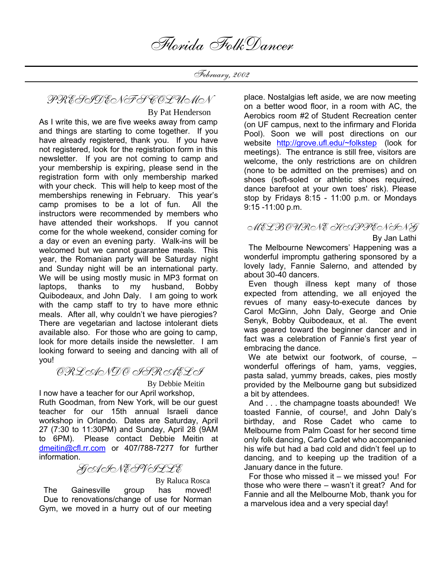February, 2002

PRESIDENT'S COLUMN

 By Pat Henderson As I write this, we are five weeks away from camp and things are starting to come together. If you have already registered, thank you. If you have not registered, look for the registration form in this newsletter. If you are not coming to camp and your membership is expiring, please send in the registration form with only membership marked with your check. This will help to keep most of the memberships renewing in February. This year's camp promises to be a lot of fun. All the instructors were recommended by members who have attended their workshops. If you cannot come for the whole weekend, consider coming for a day or even an evening party. Walk-ins will be welcomed but we cannot guarantee meals. This year, the Romanian party will be Saturday night and Sunday night will be an international party. We will be using mostly music in MP3 format on laptops, thanks to my husband, Bobby Quibodeaux, and John Daly. I am going to work with the camp staff to try to have more ethnic meals. After all, why couldn't we have pierogies? There are vegetarian and lactose intolerant diets available also. For those who are going to camp, look for more details inside the newsletter. I am looking forward to seeing and dancing with all of you!

ORLANDO ISRAELI

By Debbie Meitin

I now have a teacher for our April workshop, Ruth Goodman, from New York, will be our guest teacher for our 15th annual Israeli dance workshop in Orlando. Dates are Saturday, April 27 (7:30 to 11:30PM) and Sunday, April 28 (9AM to 6PM). Please contact Debbie Meitin at dmeitin@cfl.rr.com or 407/788-7277 for further information.

GAINESVILLE

By Raluca Rosca

 The Gainesville group has moved! Due to renovations/change of use for Norman Gym, we moved in a hurry out of our meeting place. Nostalgias left aside, we are now meeting on a better wood floor, in a room with AC, the Aerobics room #2 of Student Recreation center (on UF campus, next to the infirmary and Florida Pool). Soon we will post directions on our website http://grove.ufl.edu/~folkstep (look for meetings). The entrance is still free, visitors are welcome, the only restrictions are on children (none to be admitted on the premises) and on shoes (soft-soled or athletic shoes required, dance barefoot at your own toes' risk). Please stop by Fridays 8:15 - 11:00 p.m. or Mondays 9:15 -11:00 p.m.

#### MELBOURNE HAPPENING

By Jan Lathi

 The Melbourne Newcomers' Happening was a wonderful impromptu gathering sponsored by a lovely lady, Fannie Salerno, and attended by about 30-40 dancers.

 Even though illness kept many of those expected from attending, we all enjoyed the revues of many easy-to-execute dances by Carol McGinn, John Daly, George and Onie Senyk, Bobby Quibodeaux, et al. The event was geared toward the beginner dancer and in fact was a celebration of Fannie's first year of embracing the dance.

We ate betwixt our footwork, of course,  $$ wonderful offerings of ham, yams, veggies, pasta salad, yummy breads, cakes, pies mostly provided by the Melbourne gang but subsidized a bit by attendees.

 And . . . the champagne toasts abounded! We toasted Fannie, of course!, and John Daly's birthday, and Rose Cadet who came to Melbourne from Palm Coast for her second time only folk dancing, Carlo Cadet who accompanied his wife but had a bad cold and didn't feel up to dancing, and to keeping up the tradition of a January dance in the future.

 For those who missed it – we missed you! For those who were there – wasn't it great? And for Fannie and all the Melbourne Mob, thank you for a marvelous idea and a very special day!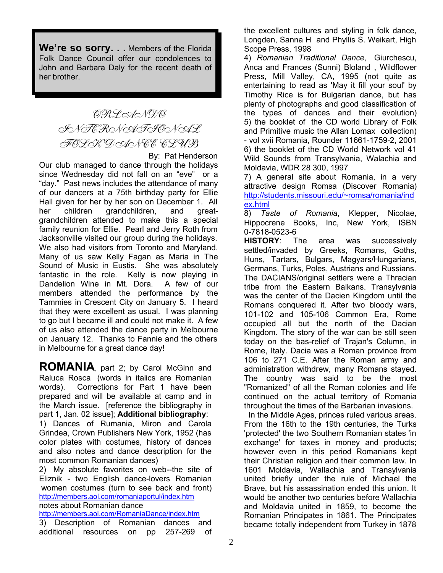**We're so sorry. . .** Members of the Florida Folk Dance Council offer our condolences to John and Barbara Daly for the recent death of her brother.

## ORLANDO INTERNATIONAL FOLK DANCE CLUB

By: Pat Henderson

Our club managed to dance through the holidays since Wednesday did not fall on an "eve" or a "day." Past news includes the attendance of many of our dancers at a 75th birthday party for Ellie Hall given for her by her son on December 1. All her children grandchildren, and greatgrandchildren attended to make this a special family reunion for Ellie. Pearl and Jerry Roth from Jacksonville visited our group during the holidays. We also had visitors from Toronto and Maryland. Many of us saw Kelly Fagan as Maria in The Sound of Music in Eustis. She was absolutely fantastic in the role. Kelly is now playing in Dandelion Wine in Mt. Dora. A few of our members attended the performance by the Tammies in Crescent City on January 5. I heard that they were excellent as usual. I was planning to go but I became ill and could not make it. A few of us also attended the dance party in Melbourne on January 12. Thanks to Fannie and the others in Melbourne for a great dance day!

**ROMANIA**, part 2; by Carol McGinn and Raluca Rosca (words in italics are Romanian words). Corrections for Part 1 have been prepared and will be available at camp and in the March issue. [reference the bibliography in part 1, Jan. 02 issue]; **Additional bibliography**: 1) Dances of Rumania, Miron and Carola Grindea, Crown Publishers New York, 1952 (has color plates with costumes, history of dances and also notes and dance description for the most common Romanian dances)

2) My absolute favorites on web--the site of Eliznik - two English dance-lovers Romanian women costumes (turn to see back and front) http://members.aol.com/romaniaportul/index.htm notes about Romanian dance

http://members.aol.com/RomaniaDance/index.htm

3) Description of Romanian dances and additional resources on pp 257-269 of the excellent cultures and styling in folk dance, Longden, Sanna H and Phyllis S. Weikart, High Scope Press, 1998

4) *Romanian Traditional Dance*, Giurchescu, Anca and Frances (Sunni) Bloland , Wildflower Press, Mill Valley, CA, 1995 (not quite as entertaining to read as 'May it fill your soul' by Timothy Rice is for Bulgarian dance, but has plenty of photographs and good classification of the types of dances and their evolution) 5) the booklet of the CD world Library of Folk and Primitive music the Allan Lomax collection) - vol xvii Romania, Rounder 11661-1759-2, 2001 6) the booklet of the CD World Network vol 41 Wild Sounds from Transylvania, Walachia and Moldavia, WDR 28 300, 1997

7) A general site about Romania, in a very attractive design Romsa (Discover Romania) http://students.missouri.edu/~romsa/romania/ind ex.html

8) *Taste of Romania*, Klepper, Nicolae, Hippocrene Books, Inc, New York, ISBN 0-7818-0523-6

**HISTORY**: The area was successively settled/invaded by Greeks, Romans, Goths, Huns, Tartars, Bulgars, Magyars/Hungarians, Germans, Turks, Poles, Austrians and Russians. The DACIANS/original settlers were a Thracian tribe from the Eastern Balkans. Transylvania was the center of the Dacien Kingdom until the Romans conquered it. After two bloody wars, 101-102 and 105-106 Common Era, Rome occupied all but the north of the Dacian Kingdom. The story of the war can be still seen today on the bas-relief of Trajan's Column, in Rome, Italy. Dacia was a Roman province from 106 to 271 C.E. After the Roman army and administration withdrew, many Romans stayed. The country was said to be the most "Romanized" of all the Roman colonies and life continued on the actual territory of Romania throughout the times of the Barbarian invasions.

 In the Middle Ages, princes ruled various areas. From the 16th to the 19th centuries, the Turks 'protected' the two Southern Romanian states 'in exchange' for taxes in money and products; however even in this period Romanians kept their Christian religion and their common law. In 1601 Moldavia, Wallachia and Transylvania united briefly under the rule of Michael the Brave, but his assassination ended this union. It would be another two centuries before Wallachia and Moldavia united in 1859, to become the Romanian Principates in 1861. The Principates became totally independent from Turkey in 1878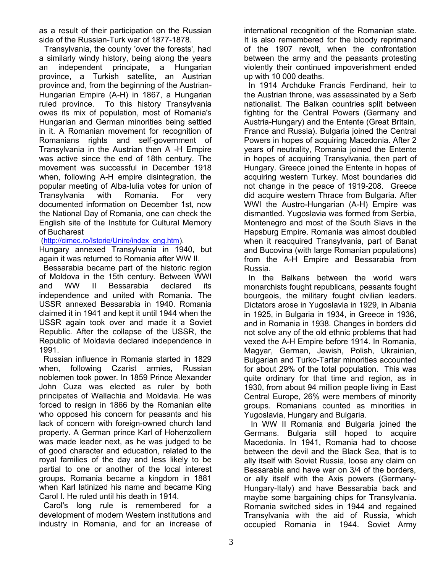as a result of their participation on the Russian side of the Russian-Turk war of 1877-1878.

 Transylvania, the county 'over the forests', had a similarly windy history, being along the years an independent principate, a Hungarian province, a Turkish satellite, an Austrian province and, from the beginning of the Austrian-Hungarian Empire (A-H) in 1867, a Hungarian ruled province. To this history Transylvania owes its mix of population, most of Romania's Hungarian and German minorities being settled in it. A Romanian movement for recognition of Romanians rights and self-government of Transylvania in the Austrian then A -H Empire was active since the end of 18th century. The movement was successful in December 1918 when, following A-H empire disintegration, the popular meeting of Alba-Iulia votes for union of Transylvania with Romania. For very documented information on December 1st, now the National Day of Romania, one can check the English site of the Institute for Cultural Memory of Bucharest

(http://cimec.ro/Istorie/Unire/index\_eng.htm).

Hungary annexed Transylvania in 1940, but again it was returned to Romania after WW II.

 Bessarabia became part of the historic region of Moldova in the 15th century. Between WWI and WW II Bessarabia declared its independence and united with Romania. The USSR annexed Bessarabia in 1940. Romania claimed it in 1941 and kept it until 1944 when the USSR again took over and made it a Soviet Republic. After the collapse of the USSR, the Republic of Moldavia declared independence in 1991.

 Russian influence in Romania started in 1829 when, following Czarist armies, Russian noblemen took power. In 1859 Prince Alexander John Cuza was elected as ruler by both principates of Wallachia and Moldavia. He was forced to resign in 1866 by the Romanian elite who opposed his concern for peasants and his lack of concern with foreign-owned church land property. A German prince Karl of Hohenzollern was made leader next, as he was judged to be of good character and education, related to the royal families of the day and less likely to be partial to one or another of the local interest groups. Romania became a kingdom in 1881 when Karl latinized his name and became King Carol I. He ruled until his death in 1914.

 Carol's long rule is remembered for a development of modern Western institutions and industry in Romania, and for an increase of international recognition of the Romanian state. It is also remembered for the bloody reprimand of the 1907 revolt, when the confrontation between the army and the peasants protesting violently their continued impoverishment ended up with 10 000 deaths.

 In 1914 Archduke Francis Ferdinand, heir to the Austrian throne, was assassinated by a Serb nationalist. The Balkan countries split between fighting for the Central Powers (Germany and Austria-Hungary) and the Entente (Great Britain, France and Russia). Bulgaria joined the Central Powers in hopes of acquiring Macedonia. After 2 years of neutrality, Romania joined the Entente in hopes of acquiring Transylvania, then part of Hungary. Greece joined the Entente in hopes of acquiring western Turkey. Most boundaries did not change in the peace of 1919-208. Greece did acquire western Thrace from Bulgaria. After WWI the Austro-Hungarian (A-H) Empire was dismantled. Yugoslavia was formed from Serbia, Montenegro and most of the South Slavs in the Hapsburg Empire. Romania was almost doubled when it reacquired Transylvania, part of Banat and Bucovina (with large Romanian populations) from the A-H Empire and Bessarabia from Russia.

 In the Balkans between the world wars monarchists fought republicans, peasants fought bourgeois, the military fought civilian leaders. Dictators arose in Yugoslavia in 1929, in Albania in 1925, in Bulgaria in 1934, in Greece in 1936, and in Romania in 1938. Changes in borders did not solve any of the old ethnic problems that had vexed the A-H Empire before 1914. In Romania, Magyar, German, Jewish, Polish, Ukrainian, Bulgarian and Turko-Tartar minorities accounted for about 29% of the total population. This was quite ordinary for that time and region, as in 1930, from about 94 million people living in East Central Europe, 26% were members of minority groups. Romanians counted as minorities in Yugoslavia, Hungary and Bulgaria.

 In WW II Romania and Bulgaria joined the Germans. Bulgaria still hoped to acquire Macedonia. In 1941, Romania had to choose between the devil and the Black Sea, that is to ally itself with Soviet Russia, loose any claim on Bessarabia and have war on 3/4 of the borders, or ally itself with the Axis powers (Germany-Hungary-Italy) and have Bessarabia back and maybe some bargaining chips for Transylvania. Romania switched sides in 1944 and regained Transylvania with the aid of Russia, which occupied Romania in 1944. Soviet Army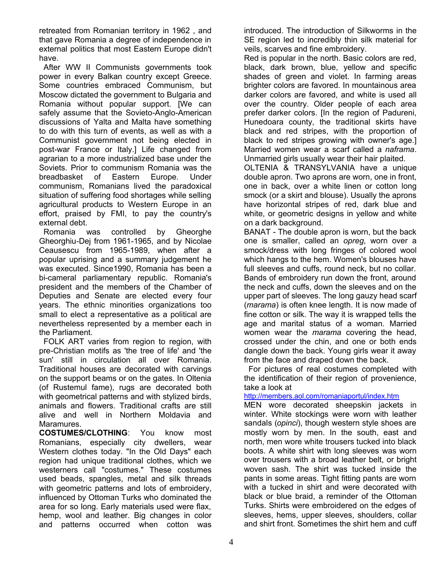retreated from Romanian territory in 1962 , and that gave Romania a degree of independence in external politics that most Eastern Europe didn't have.

 After WW II Communists governments took power in every Balkan country except Greece. Some countries embraced Communism, but Moscow dictated the government to Bulgaria and Romania without popular support. [We can safely assume that the Sovieto-Anglo-American discussions of Yalta and Malta have something to do with this turn of events, as well as with a Communist government not being elected in post-war France or Italy.] Life changed from agrarian to a more industrialized base under the Soviets. Prior to communism Romania was the breadbasket of Eastern Europe. Under communism, Romanians lived the paradoxical situation of suffering food shortages while selling agricultural products to Western Europe in an effort, praised by FMI, to pay the country's external debt.

 Romania was controlled by Gheorghe Gheorghiu-Dej from 1961-1965, and by Nicolae Ceausescu from 1965-1989, when after a popular uprising and a summary judgement he was executed. Since1990, Romania has been a bi-cameral parliamentary republic. Romania's president and the members of the Chamber of Deputies and Senate are elected every four years. The ethnic minorities organizations too small to elect a representative as a political are nevertheless represented by a member each in the Parliament.

 FOLK ART varies from region to region, with pre-Christian motifs as 'the tree of life' and 'the sun' still in circulation all over Romania. Traditional houses are decorated with carvings on the support beams or on the gates. In Oltenia (of Rustemul fame), rugs are decorated both with geometrical patterns and with stylized birds, animals and flowers. Traditional crafts are still alive and well in Northern Moldavia and Maramures.

**COSTUMES/CLOTHING**: You know most Romanians, especially city dwellers, wear Western clothes today. "In the Old Days" each region had unique traditional clothes, which we westerners call "costumes." These costumes used beads, spangles, metal and silk threads with geometric patterns and lots of embroidery, influenced by Ottoman Turks who dominated the area for so long. Early materials used were flax, hemp, wool and leather. Big changes in color and patterns occurred when cotton was

introduced. The introduction of Silkworms in the SE region led to incredibly thin silk material for veils, scarves and fine embroidery.

Red is popular in the north. Basic colors are red, black, dark brown, blue, yellow and specific shades of green and violet. In farming areas brighter colors are favored. In mountainous area darker colors are favored, and white is used all over the country. Older people of each area prefer darker colors. [In the region of Padureni, Hunedoara county, the traditional skirts have black and red stripes, with the proportion of black to red stripes growing with owner's age.] Married women wear a scarf called a *naframa*. Unmarried girls usually wear their hair plaited.

OLTENIA & TRANSYLVANIA have a unique double apron. Two aprons are worn, one in front, one in back, over a white linen or cotton long smock (or a skirt and blouse). Usually the aprons have horizontal stripes of red, dark blue and white, or geometric designs in yellow and white on a dark background.

BANAT - The double apron is worn, but the back one is smaller, called an *opreg*, worn over a smock/dress with long fringes of colored wool which hangs to the hem. Women's blouses have full sleeves and cuffs, round neck, but no collar. Bands of embroidery run down the front, around the neck and cuffs, down the sleeves and on the upper part of sleeves. The long gauzy head scarf (*marama*) is often knee length. It is now made of fine cotton or silk. The way it is wrapped tells the age and marital status of a woman. Married women wear the *marama* covering the head, crossed under the chin, and one or both ends dangle down the back. Young girls wear it away from the face and draped down the back.

 For pictures of real costumes completed with the identification of their region of provenience, take a look at

#### http://members.aol.com/romaniaportul/index.htm

MEN wore decorated sheepskin jackets in winter. White stockings were worn with leather sandals (*opinci*), though western style shoes are mostly worn by men. In the south, east and north, men wore white trousers tucked into black boots. A white shirt with long sleeves was worn over trousers with a broad leather belt, or bright woven sash. The shirt was tucked inside the pants in some areas. Tight fitting pants are worn with a tucked in shirt and were decorated with black or blue braid, a reminder of the Ottoman Turks. Shirts were embroidered on the edges of sleeves, hems, upper sleeves, shoulders, collar and shirt front. Sometimes the shirt hem and cuff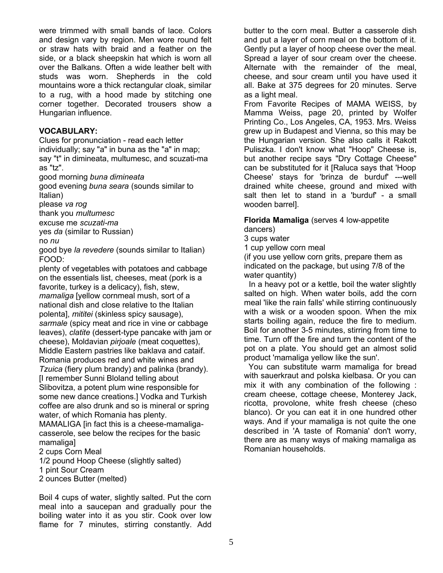were trimmed with small bands of lace. Colors and design vary by region. Men wore round felt or straw hats with braid and a feather on the side, or a black sheepskin hat which is worn all over the Balkans. Often a wide leather belt with studs was worn. Shepherds in the cold mountains wore a thick rectangular cloak, similar to a rug, with a hood made by stitching one corner together. Decorated trousers show a Hungarian influence.

#### **VOCABULARY:**

Clues for pronunciation - read each letter individually; say "a" in buna as the "a" in map; say "t" in dimineata, multumesc, and scuzati-ma as "tz".

good morning *buna dimineata*

good evening *buna seara* (sounds similar to Italian)

please *va rog*

thank you *multumesc*

excuse me *scuzati-ma*

yes *da* (similar to Russian)

no *nu*

good bye *la revedere* (sounds similar to Italian) FOOD:

plenty of vegetables with potatoes and cabbage on the essentials list, cheeses, meat (pork is a favorite, turkey is a delicacy), fish, stew, *mamaliga* [yellow cornmeal mush, sort of a national dish and close relative to the Italian polenta], *mititei* (skinless spicy sausage), *sarmale* (spicy meat and rice in vine or cabbage leaves), *clatite* (dessert-type pancake with jam or cheese), Moldavian *pirjoale* (meat coquettes), Middle Eastern pastries like baklava and cataif. Romania produces red and white wines and *Tzuica* (fiery plum brandy) and palinka (brandy). [I remember Sunni Bloland telling about Slibovitza, a potent plum wine responsible for some new dance creations.] Vodka and Turkish coffee are also drunk and so is mineral or spring water, of which Romania has plenty. MAMALIGA [in fact this is a cheese-mamaligacasserole, see below the recipes for the basic mamaliga] 2 cups Corn Meal

1/2 pound Hoop Cheese (slightly salted)

1 pint Sour Cream

2 ounces Butter (melted)

Boil 4 cups of water, slightly salted. Put the corn meal into a saucepan and gradually pour the boiling water into it as you stir. Cook over low flame for 7 minutes, stirring constantly. Add

butter to the corn meal. Butter a casserole dish and put a layer of corn meal on the bottom of it. Gently put a layer of hoop cheese over the meal. Spread a layer of sour cream over the cheese. Alternate with the remainder of the meal, cheese, and sour cream until you have used it all. Bake at 375 degrees for 20 minutes. Serve as a light meal.

From Favorite Recipes of MAMA WEISS, by Mamma Weiss, page 20, printed by Wolfer Printing Co., Los Angeles, CA, 1953. Mrs. Weiss grew up in Budapest and Vienna, so this may be the Hungarian version. She also calls it Rakott Puliszka. I don't know what "Hoop" Cheese is, but another recipe says "Dry Cottage Cheese" can be substituted for it [Raluca says that 'Hoop Cheese' stays for 'brinza de burduf' ---well drained white cheese, ground and mixed with salt then let to stand in a 'burduf' - a small wooden barrel].

#### **Florida Mamaliga** (serves 4 low-appetite dancers)

3 cups water

1 cup yellow corn meal

(if you use yellow corn grits, prepare them as indicated on the package, but using 7/8 of the water quantity)

 In a heavy pot or a kettle, boil the water slightly salted on high. When water boils, add the corn meal 'like the rain falls' while stirring continuously with a wisk or a wooden spoon. When the mix starts boiling again, reduce the fire to medium. Boil for another 3-5 minutes, stirring from time to time. Turn off the fire and turn the content of the pot on a plate. You should get an almost solid product 'mamaliga yellow like the sun'.

 You can substitute warm mamaliga for bread with sauerkraut and polska kielbasa. Or you can mix it with any combination of the following : cream cheese, cottage cheese, Monterey Jack, ricotta, provolone, white fresh cheese (cheso blanco). Or you can eat it in one hundred other ways. And if your mamaliga is not quite the one described in 'A taste of Romania' don't worry, there are as many ways of making mamaliga as Romanian households.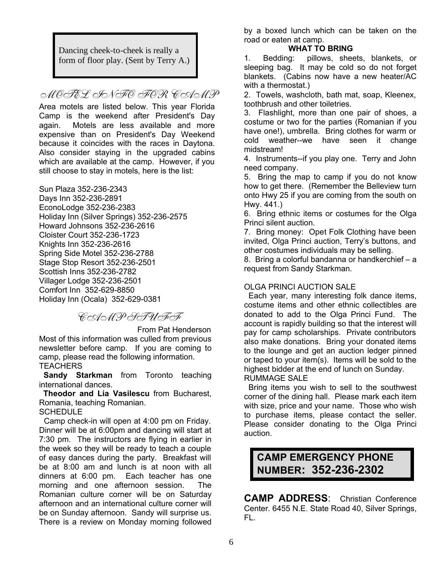Dancing cheek-to-cheek is really a form of floor play. (Sent by Terry A.)

MOTEL SON FOR COAMP

Area motels are listed below. This year Florida Camp is the weekend after President's Day again. Motels are less available and more expensive than on President's Day Weekend because it coincides with the races in Daytona. Also consider staying in the upgraded cabins which are available at the camp. However, if you still choose to stay in motels, here is the list:

Sun Plaza 352-236-2343

Days Inn 352-236-2891 EconoLodge 352-236-2383 Holiday Inn (Silver Springs) 352-236-2575 Howard Johnsons 352-236-2616 Cloister Court 352-236-1723 Knights Inn 352-236-2616 Spring Side Motel 352-236-2788 Stage Stop Resort 352-236-2501 Scottish Inns 352-236-2782 Villager Lodge 352-236-2501 Comfort Inn 352-629-8850 Holiday Inn (Ocala) 352-629-0381

CAMP STUFF

 From Pat Henderson Most of this information was culled from previous newsletter before camp. If you are coming to camp, please read the following information. **TEACHERS** 

 **Sandy Starkman** from Toronto teaching international dances.

 **Theodor and Lia Vasilescu** from Bucharest, Romania, teaching Romanian.

**SCHEDULE** 

 Camp check-in will open at 4:00 pm on Friday. Dinner will be at 6:00pm and dancing will start at 7:30 pm. The instructors are flying in earlier in the week so they will be ready to teach a couple of easy dances during the party. Breakfast will be at 8:00 am and lunch is at noon with all dinners at 6:00 pm. Each teacher has one morning and one afternoon session. The Romanian culture corner will be on Saturday afternoon and an international culture corner will be on Sunday afternoon. Sandy will surprise us. There is a review on Monday morning followed

by a boxed lunch which can be taken on the road or eaten at camp.

#### **WHAT TO BRING**

1. Bedding: pillows, sheets, blankets, or sleeping bag. It may be cold so do not forget blankets. (Cabins now have a new heater/AC with a thermostat.)

2. Towels, washcloth, bath mat, soap, Kleenex, toothbrush and other toiletries.

3. Flashlight, more than one pair of shoes, a costume or two for the parties (Romanian if you have one!), umbrella. Bring clothes for warm or cold weather--we have seen it change midstream!

4. Instruments--if you play one. Terry and John need company.

5. Bring the map to camp if you do not know how to get there. (Remember the Belleview turn onto Hwy 25 if you are coming from the south on Hwy. 441.)

6. Bring ethnic items or costumes for the Olga Princi silent auction.

7. Bring money: Opet Folk Clothing have been invited, Olga Princi auction, Terry's buttons, and other costumes individuals may be selling.

8. Bring a colorful bandanna or handkerchief – a request from Sandy Starkman.

#### OLGA PRINCI AUCTION SALE

 Each year, many interesting folk dance items, costume items and other ethnic collectibles are donated to add to the Olga Princi Fund. The account is rapidly building so that the interest will pay for camp scholarships. Private contributors also make donations. Bring your donated items to the lounge and get an auction ledger pinned or taped to your item(s). Items will be sold to the highest bidder at the end of lunch on Sunday. RUMMAGE SALE

 Bring items you wish to sell to the southwest corner of the dining hall. Please mark each item with size, price and your name. Those who wish to purchase items, please contact the seller. Please consider donating to the Olga Princi auction.

### **CAMP EMERGENCY PHONE NUMBER: 352-236-2302**

**CAMP ADDRESS**: Christian Conference Center. 6455 N.E. State Road 40, Silver Springs, FL.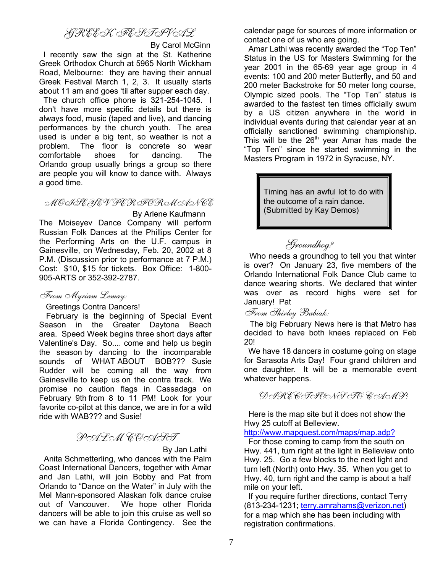### GREEK FESTIVAL

By Carol McGinn

 I recently saw the sign at the St. Katherine Greek Orthodox Church at 5965 North Wickham Road, Melbourne: they are having their annual Greek Festival March 1, 2, 3. It usually starts about 11 am and goes 'til after supper each day.

 The church office phone is 321-254-1045. I don't have more specific details but there is always food, music (taped and live), and dancing performances by the church youth. The area used is under a big tent, so weather is not a problem. The floor is concrete so wear comfortable shoes for dancing. The Orlando group usually brings a group so there are people you will know to dance with. Always a good time.

#### MOISEYEV PERFORMANCE

 By Arlene Kaufmann The Moiseyev Dance Company will perform Russian Folk Dances at the Phillips Center for the Performing Arts on the U.F. campus in Gainesville, on Wednesday, Feb. 20, 2002 at 8 P.M. (Discussion prior to performance at 7 P.M.) Cost: \$10, \$15 for tickets. Box Office: 1-800- 905-ARTS or 352-392-2787.

### From Myriam Lemay:

Greetings Contra Dancers!

 February is the beginning of Special Event Season in the Greater Daytona Beach area. Speed Week begins three short days after Valentine's Day. So.... come and help us begin the season by dancing to the incomparable sounds of WHAT ABOUT BOB??? Susie Rudder will be coming all the way from Gainesville to keep us on the contra track. We promise no caution flags in Cassadaga on February 9th from 8 to 11 PM! Look for your favorite co-pilot at this dance, we are in for a wild ride with WAB??? and Susie!

### PALM COAST

By Jan Lathi

 Anita Schmetterling, who dances with the Palm Coast International Dancers, together with Amar and Jan Lathi, will join Bobby and Pat from Orlando to "Dance on the Water" in July with the Mel Mann-sponsored Alaskan folk dance cruise out of Vancouver. We hope other Florida dancers will be able to join this cruise as well so we can have a Florida Contingency. See the calendar page for sources of more information or contact one of us who are going.

 Amar Lathi was recently awarded the "Top Ten" Status in the US for Masters Swimming for the year 2001 in the 65-69 year age group in 4 events: 100 and 200 meter Butterfly, and 50 and 200 meter Backstroke for 50 meter long course, Olympic sized pools. The "Top Ten" status is awarded to the fastest ten times officially swum by a US citizen anywhere in the world in individual events during that calendar year at an officially sanctioned swimming championship. This will be the  $26<sup>th</sup>$  year Amar has made the "Top Ten" since he started swimming in the Masters Program in 1972 in Syracuse, NY.

> Timing has an awful lot to do with the outcome of a rain dance. (Submitted by Kay Demos)

### Groundhog?

 Who needs a groundhog to tell you that winter is over? On January 23, five members of the Orlando International Folk Dance Club came to dance wearing shorts. We declared that winter was over as record highs were set for January! Pat

From Shirley Babiak:

 The big February News here is that Metro has decided to have both knees replaced on Feb 20!

 We have 18 dancers in costume going on stage for Sarasota Arts Day! Four grand children and one daughter. It will be a memorable event whatever happens.

DIRECTIONS TO CAMP:

 Here is the map site but it does not show the Hwy 25 cutoff at Belleview.

http://www.mapquest.com/maps/map.adp?

 For those coming to camp from the south on Hwy. 441, turn right at the light in Belleview onto Hwy. 25. Go a few blocks to the next light and turn left (North) onto Hwy. 35. When you get to Hwy. 40, turn right and the camp is about a half mile on your left.

 If you require further directions, contact Terry (813-234-1231; terry.amrahams@verizon.net) for a map which she has been including with registration confirmations.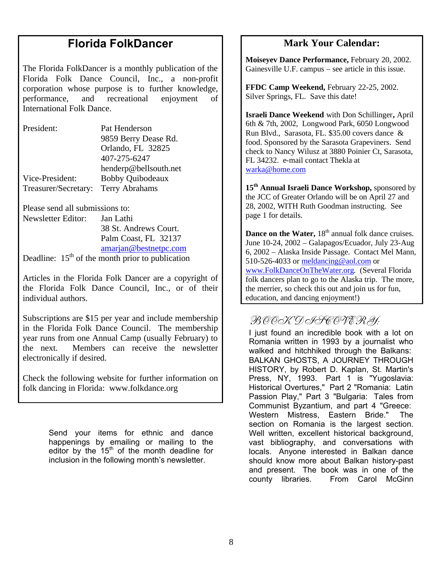### **Florida FolkDancer**

The Florida FolkDancer is a monthly publication of the Florida Folk Dance Council, Inc., a non-profit corporation whose purpose is to further knowledge, performance, and recreational enjoyment of International Folk Dance.

| President:                          | Pat Henderson           |
|-------------------------------------|-------------------------|
|                                     | 9859 Berry Dease Rd.    |
|                                     | Orlando, FL 32825       |
|                                     | 407-275-6247            |
|                                     | henderp@bellsouth.net   |
| Vice-President:                     | <b>Bobby Quibodeaux</b> |
| Treasurer/Secretary: Terry Abrahams |                         |

Please send all submissions to:

Newsletter Editor: Jan Lathi 38 St. Andrews Court. Palm Coast, FL 32137 amarjan@bestnetpc.com Deadline:  $15<sup>th</sup>$  of the month prior to publication

Articles in the Florida Folk Dancer are a copyright of the Florida Folk Dance Council, Inc., or of their individual authors.

Subscriptions are \$15 per year and include membership in the Florida Folk Dance Council. The membership year runs from one Annual Camp (usually February) to the next. Members can receive the newsletter electronically if desired.

Check the following website for further information on folk dancing in Florida: www.folkdance.org

> Send your items for ethnic and dance happenings by emailing or mailing to the editor by the  $15<sup>th</sup>$  of the month deadline for inclusion in the following month's newsletter.

### **Mark Your Calendar:**

**Moiseyev Dance Performance,** February 20, 2002. Gainesville U.F. campus – see article in this issue.

**FFDC Camp Weekend,** February 22-25, 2002. Silver Springs, FL. Save this date!

**Israeli Dance Weekend** with Don Schillinger**,** April 6th & 7th, 2002, Longwood Park, 6050 Longwood Run Blvd., Sarasota, FL. \$35.00 covers dance & food. Sponsored by the Sarasota Grapeviners. Send check to Nancy Wilusz at 3880 Poinier Ct, Sarasota, FL 34232. e-mail contact Thekla at warka@home.com

**15th Annual Israeli Dance Workshop,** sponsored by the JCC of Greater Orlando will be on April 27 and 28, 2002, WITH Ruth Goodman instructing. See page 1 for details.

**Dance on the Water, 18<sup>th</sup> annual folk dance cruises.** June 10-24, 2002 – Galapagos/Ecuador, July 23-Aug 6, 2002 – Alaska Inside Passage. Contact Mel Mann, 510-526-4033 or meldancing@aol.com or www.FolkDanceOnTheWater.org. (Several Florida folk dancers plan to go to the Alaska trip. The more, the merrier, so check this out and join us for fun, education, and dancing enjoyment!)

### BOOK DISCOVERY:

I just found an incredible book with a lot on Romania written in 1993 by a journalist who walked and hitchhiked through the Balkans: BALKAN GHOSTS, A JOURNEY THROUGH HISTORY, by Robert D. Kaplan, St. Martin's Press, NY, 1993. Part 1 is "Yugoslavia: Historical Overtures," Part 2 "Romania: Latin Passion Play," Part 3 "Bulgaria: Tales from Communist Byzantium, and part 4 "Greece: Western Mistress, Eastern Bride." The section on Romania is the largest section. Well written, excellent historical background, vast bibliography, and conversations with locals. Anyone interested in Balkan dance should know more about Balkan history-past and present. The book was in one of the county libraries. From Carol McGinn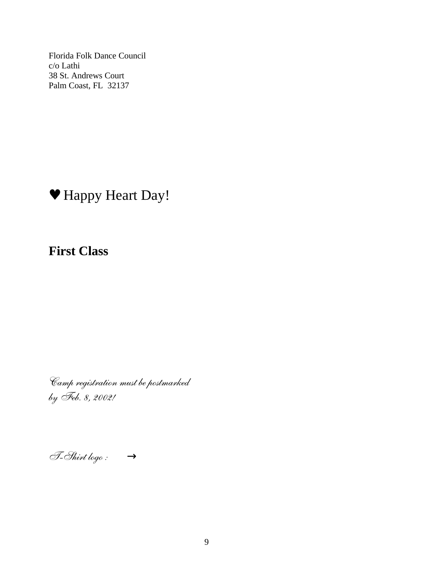Florida Folk Dance Council c/o Lathi 38 St. Andrews Court Palm Coast, FL 32137

# ♥ Happy Heart Day!

**First Class**

Camp registration must be postmarked by Feb. 8, 2002!